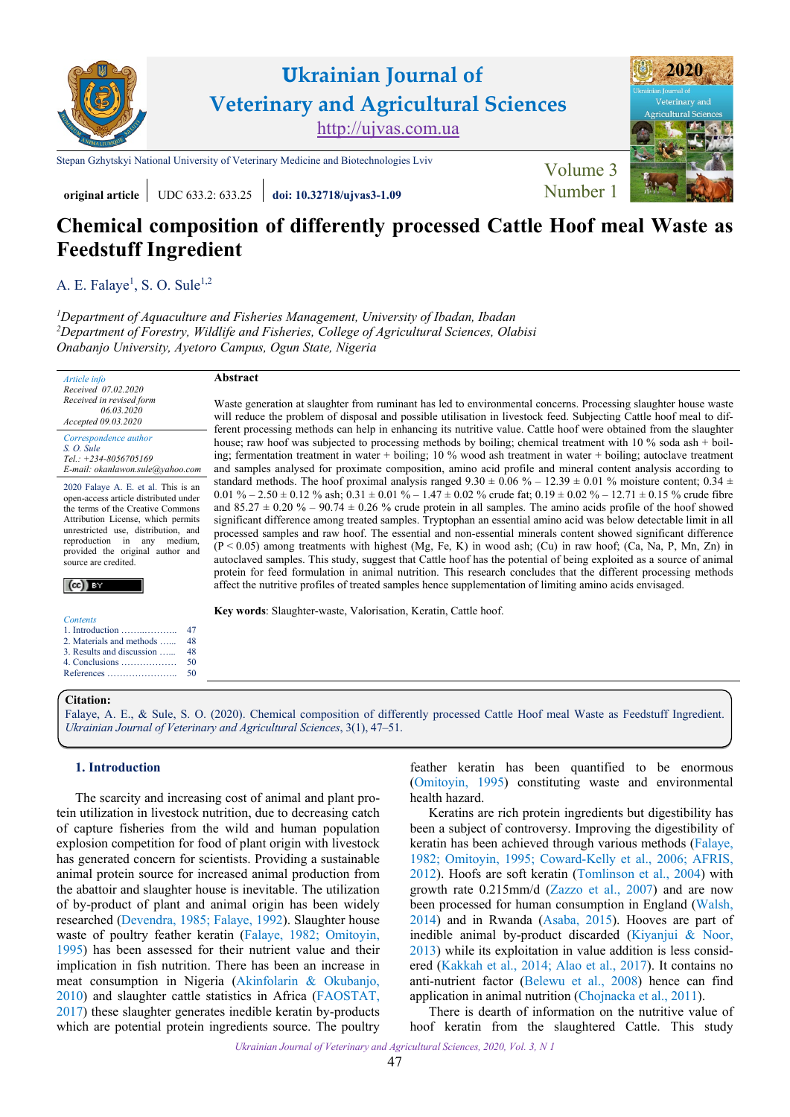

**original article** UDC 633.2: 633.25 *doi:* **10.32718/ujvas3-1.09 Mumber 1** 

# **Chemical composition of differently processed Cattle Hoof meal Waste as Feedstuff Ingredient**

A. E. Falaye<sup>1</sup>, S. O. [Sule](https://orcid.org/0000-0003-1874-4457)<sup>1,2</sup>

*<sup>1</sup>[Department of Aquaculture and Fisheries Management, University of Ibadan, Ibadan](https://www.ui.edu.ng) <sup>2</sup>Department of Forestry, Wildlife and Fisheries, College of Agricultural Sciences, Olabisi Onabanjo University, Ayetoro Campus, Ogun State, Nigeria* 

*Article info Received 07.02.2020 Received in revised form 06.03.2020 Accepted 09.03.2020 Correspondence author S. O. [Sule](https://orcid.org/0000-0003-1874-4457) Tel.: +234-8056705169*

2020 Falaye A. E. et al. This is an open-access article distributed under the terms of the Creative Commons Attribution License, which permits unrestricted use, distribution, and reproduction in any medium, provided the original author and source are credited.

*E-mail[: okanlawon.sule@yahoo.com](mailto:okanlawon.sule@yahoo.com)*

 $(cc)$  BY

| <b>Contents</b>                                        |    |
|--------------------------------------------------------|----|
| 1. Introduction $\dots \dots \dots \dots$              | 47 |
| 2. Materials and methods                               | 48 |
| 3. Results and discussion                              | 48 |
| 4. Conclusions $\dots \dots \dots \dots$               | 50 |
| $References \dots \dots \dots \dots \dots \dots \dots$ | 50 |

# **Abstract**

Waste generation at slaughter from ruminant has led to environmental concerns. Processing slaughter house waste will reduce the problem of disposal and possible utilisation in livestock feed. Subjecting Cattle hoof meal to different processing methods can help in enhancing its nutritive value. Cattle hoof were obtained from the slaughter house; raw hoof was subjected to processing methods by boiling; chemical treatment with 10 % soda ash + boiling; fermentation treatment in water + boiling; 10 % wood ash treatment in water + boiling; autoclave treatment and samples analysed for proximate composition, amino acid profile and mineral content analysis according to standard methods. The hoof proximal analysis ranged  $9.30 \pm 0.06 \% - 12.39 \pm 0.01 \%$  moisture content; 0.34  $\pm$ 0.01 % – 2.50  $\pm$  0.12 % ash; 0.31  $\pm$  0.01 % – 1.47  $\pm$  0.02 % crude fat; 0.19  $\pm$  0.02 % – 12.71  $\pm$  0.15 % crude fibre and 85.27  $\pm$  0.20 % – 90.74  $\pm$  0.26 % crude protein in all samples. The amino acids profile of the hoof showed significant difference among treated samples. Tryptophan an essential amino acid was below detectable limit in all processed samples and raw hoof. The essential and non-essential minerals content showed significant difference (P < 0.05) among treatments with highest (Mg, Fe, K) in wood ash; (Cu) in raw hoof; (Ca, Na, P, Mn, Zn) in autoclaved samples. This study, suggest that Cattle hoof has the potential of being exploited as a source of animal protein for feed formulation in animal nutrition. This research concludes that the different processing methods affect the nutritive profiles of treated samples hence supplementation of limiting amino acids envisaged.

**Key words**: Slaughter-waste, Valorisation, Keratin, Cattle hoof.

# **Citation:**

Falaye, A. E., & Sule, S. [O. \(2020\). Chemical composition of differently processed Cattle Hoof meal Waste as Feedstuff Ingredient.](https://doi.org/10.32718/ujvas3-1.09) *Ukrainian Journal of Veterinary and Agricultural Sciences*, 3(1), 47–51.

# **1. Introduction**

The scarcity and increasing cost of animal and plant protein utilization in livestock nutrition, due to decreasing catch of capture fisheries from the wild and human population explosion competition for food of plant origin with livestock has generated concern for scientists. Providing a sustainable animal protein source for increased animal production from the abattoir and slaughter house is inevitable. The utilization of by-product of plant and animal origin has been widely researched [\(Devendra, 1985; Falaye, 1992](#page-3-0)). Slaughter house waste of poultry feather keratin [\(Falaye, 1982](#page-3-0); [Omitoyin,](#page-4-0) [1995\)](#page-4-0) has been assessed for their nutrient value and their implication in fish nutrition. There has been an increase in meat consumption in Nigeria [\(Akinfolarin & Okubanjo,](#page-3-0) [2010\)](#page-3-0) and slaughter cattle statistics in Africa ([FAOSTAT,](#page-3-0) [2017\)](#page-3-0) these slaughter generates inedible keratin by-products which are potential protein ingredients source. The poultry

feather keratin has been quantified to be enormous [\(Omitoyin, 1995\)](#page-4-0) constituting waste and environmental health hazard.

Keratins are rich protein ingredients but digestibility has been a subject of controversy. Improving the digestibility of keratin has been achieved through various methods ([Falaye,](#page-3-0)  [1982](#page-3-0); [Omitoyin, 1995](#page-4-0); [Coward-Kelly et al., 2006](#page-3-0); [AFRIS,](#page-3-0) [2012](#page-3-0)). Hoofs are soft keratin [\(Tomlinson et al., 2004](#page-4-0)) with growth rate 0.215mm/d ([Zazzo et al.,](#page-4-0) 2007) and are now been processed for human consumption in England ([Walsh,](#page-4-0)  [2014](#page-4-0)) and in Rwanda [\(Asaba, 2015\)](#page-3-0). Hooves are part of inedible animal by-product discarded ([Kiyanjui & Noor,](#page-3-0) [2013](#page-3-0)) while its exploitation in value addition is less considered ([Kakkah et al.,](#page-3-0) 2014; [Alao et al.,](#page-3-0) 2017). It contains no anti-nutrient factor [\(Belewu et al.,](#page-3-0) 2008) hence can find application in animal nutrition [\(Chojnacka et al.,](#page-3-0) 2011).

There is dearth of information on the nutritive value of hoof keratin from the slaughtered Cattle. This study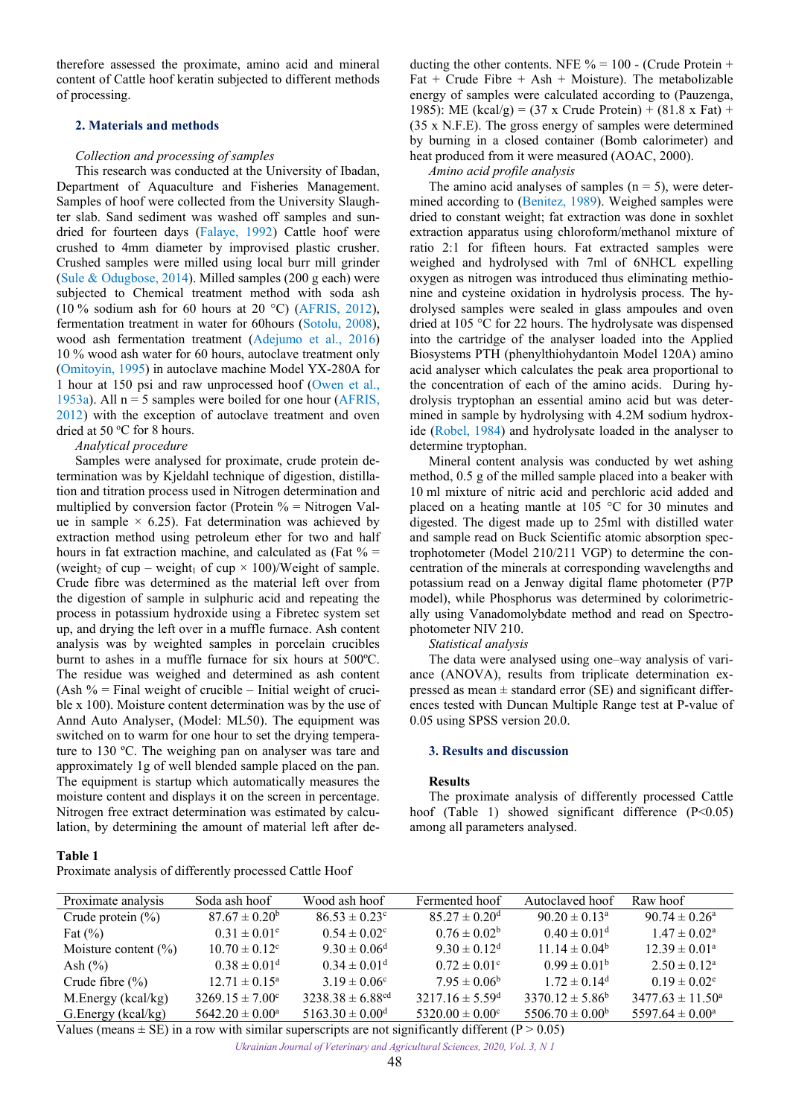<span id="page-1-0"></span>therefore assessed the proximate, amino acid and mineral content of Cattle hoof keratin subjected to different methods of processing.

## **2. Materials and methods**

## *Collection and processing of samples*

This research was conducted at the University of Ibadan, Department of Aquaculture and Fisheries Management. Samples of hoof were collected from the University Slaughter slab. Sand sediment was washed off samples and sundried for fourteen days ([Falaye, 1992](#page-3-0)) Cattle hoof were crushed to 4mm diameter by improvised plastic crusher. Crushed samples were milled using local burr mill grinder ([Sule & Odugbose, 2014](#page-4-0)). Milled samples (200 g each) were subjected to Chemical treatment method with soda ash (10 % sodium ash for 60 hours at 20 °C) [\(AFRIS, 2012\)](#page-3-0), fermentation treatment in water for 60hours ([Sotolu, 2008\)](#page-4-0), wood ash fermentation treatment ([Adejumo et al.,](#page-3-0) 2016) 10 % wood ash water for 60 hours, autoclave treatment only ([Omitoyin, 1995](#page-4-0)) in autoclave machine Model YX-280A for 1 hour at 150 psi and raw unprocessed hoof [\(Owen et al.,](#page-4-0) [1953a](#page-4-0)). All  $n = 5$  samples were boiled for one hour [\(AFRIS,](#page-3-0) [2012\)](#page-3-0) with the exception of autoclave treatment and oven dried at 50 °C for 8 hours.

## *Analytical procedure*

Samples were analysed for proximate, crude protein determination was by Kjeldahl technique of digestion, distillation and titration process used in Nitrogen determination and multiplied by conversion factor (Protein  $\%$  = Nitrogen Value in sample  $\times$  6.25). Fat determination was achieved by extraction method using petroleum ether for two and half hours in fat extraction machine, and calculated as (Fat  $\%$  = (weight<sub>2</sub> of cup – weight<sub>1</sub> of cup  $\times$  100)/Weight of sample. Crude fibre was determined as the material left over from the digestion of sample in sulphuric acid and repeating the process in potassium hydroxide using a Fibretec system set up, and drying the left over in a muffle furnace. Ash content analysis was by weighted samples in porcelain crucibles burnt to ashes in a muffle furnace for six hours at 500ºC. The residue was weighed and determined as ash content (Ash  $%$  = Final weight of crucible – Initial weight of crucible x 100). Moisture content determination was by the use of Annd Auto Analyser, (Model: ML50). The equipment was switched on to warm for one hour to set the drying temperature to 130 ºC. The weighing pan on analyser was tare and approximately 1g of well blended sample placed on the pan. The equipment is startup which automatically measures the moisture content and displays it on the screen in percentage. Nitrogen free extract determination was estimated by calculation, by determining the amount of material left after de-

## **Table 1**

Proximate analysis of differently processed Cattle Hoof

ducting the other contents. NFE  $\% = 100$  - (Crude Protein + Fat + Crude Fibre + Ash + Moisture). The metabolizable energy of samples were calculated according to (Pauzenga, 1985): ME (kcal/g) = (37 x Crude Protein) + (81.8 x Fat) + (35 x N.F.E). The gross energy of samples were determined by burning in a closed container (Bomb calorimeter) and heat produced from it were measured (AOAC, 2000).

## *Amino acid profile analysis*

The amino acid analyses of samples  $(n = 5)$ , were determined according to ([Benitez, 1989\)](#page-3-0). Weighed samples were dried to constant weight; fat extraction was done in soxhlet extraction apparatus using chloroform/methanol mixture of ratio 2:1 for fifteen hours. Fat extracted samples were weighed and hydrolysed with 7ml of 6NHCL expelling oxygen as nitrogen was introduced thus eliminating methionine and cysteine oxidation in hydrolysis process. The hydrolysed samples were sealed in glass ampoules and oven dried at 105 °C for 22 hours. The hydrolysate was dispensed into the cartridge of the analyser loaded into the Applied Biosystems PTH (phenylthiohydantoin Model 120A) amino acid analyser which calculates the peak area proportional to the concentration of each of the amino acids. During hydrolysis tryptophan an essential amino acid but was determined in sample by hydrolysing with 4.2M sodium hydroxide ([Robel, 1984\)](#page-4-0) and hydrolysate loaded in the analyser to determine tryptophan.

Mineral content analysis was conducted by wet ashing method, 0.5 g of the milled sample placed into a beaker with 10 ml mixture of nitric acid and perchloric acid added and placed on a heating mantle at 105 °C for 30 minutes and digested. The digest made up to 25ml with distilled water and sample read on Buck Scientific atomic absorption spectrophotometer (Model 210/211 VGP) to determine the concentration of the minerals at corresponding wavelengths and potassium read on a Jenway digital flame photometer (P7P model), while Phosphorus was determined by colorimetrically using Vanadomolybdate method and read on Spectrophotometer NIV 210.

*Statistical analysis*

The data were analysed using one–way analysis of variance (ANOVA), results from triplicate determination expressed as mean  $\pm$  standard error (SE) and significant differences tested with Duncan Multiple Range test at P-value of 0.05 using SPSS version 20.0.

## **3. Results and discussion**

#### **Results**

The proximate analysis of differently processed Cattle hoof (Table 1) showed significant difference  $(P<0.05)$ among all parameters analysed.

| Proximate analysis       | Soda ash hoof                | Wood ash hoof                    | Fermented hoof                  | Autoclaved hoof              | Raw hoof                    |
|--------------------------|------------------------------|----------------------------------|---------------------------------|------------------------------|-----------------------------|
| Crude protein $(\%)$     | $87.67 \pm 0.20^b$           | $86.53 \pm 0.23^{\circ}$         | $85.27 \pm 0.20$ <sup>d</sup>   | $90.20 \pm 0.13^{\circ}$     | $90.74 \pm 0.26^{\circ}$    |
| Fat $(\% )$              | $0.31 \pm 0.01^{\circ}$      | $0.54 \pm 0.02$ <sup>c</sup>     | $0.76 \pm 0.02^b$               | $0.40 \pm 0.01$ <sup>d</sup> | $1.47 \pm 0.02^{\text{a}}$  |
| Moisture content $(\% )$ | $10.70 \pm 0.12^{\circ}$     | $9.30 \pm 0.06^d$                | $9.30 \pm 0.12^d$               | $11.14 \pm 0.04^b$           | $12.39 \pm 0.01^{\circ}$    |
| Ash $(\% )$              | $0.38 \pm 0.01$ <sup>d</sup> | $0.34 \pm 0.01$ <sup>d</sup>     | $0.72 \pm 0.01$ °               | $0.99 \pm 0.01^{\rm b}$      | $2.50 \pm 0.12^{\text{a}}$  |
| Crude fibre $(\% )$      | $12.71 \pm 0.15^{\circ}$     | $3.19 \pm 0.06^{\circ}$          | $7.95 \pm 0.06^b$               | $1.72 \pm 0.14^d$            | $0.19 \pm 0.02^e$           |
| M. Energy (kcal/kg)      | $3269.15 \pm 7.00^{\circ}$   | $3238.38 \pm 6.88$ <sup>cd</sup> | $3217.16 \pm 5.59$ <sup>d</sup> | $3370.12 \pm 5.86^b$         | $3477.63 \pm 11.50^{\circ}$ |
| G. Energy (kcal/kg)      | $5642.20 \pm 0.00^{\circ}$   | $5163.30 \pm 0.00$ <sup>d</sup>  | $5320.00 \pm 0.00^{\circ}$      | $5506.70 \pm 0.00^b$         | $5597.64 \pm 0.00^{\circ}$  |

Values (means  $\pm$  SE) in a row with similar superscripts are not significantly different (P > 0.05)

*Ukrainian Journal of Veterinary and Agricultural Sciences, 2020, Vol. 3, N 1*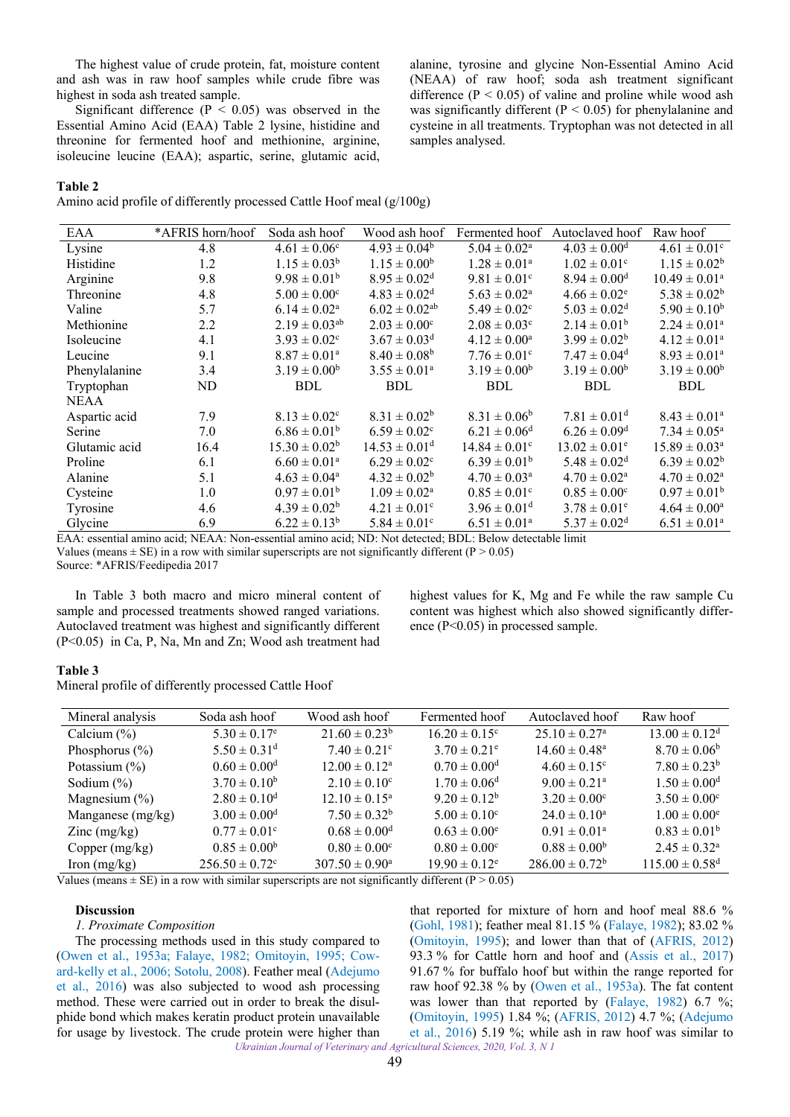The highest value of crude protein, fat, moisture content and ash was in raw hoof samples while crude fibre was highest in soda ash treated sample.

Significant difference ( $P < 0.05$ ) was observed in the Essential Amino Acid (EAA) Table 2 lysine, histidine and threonine for fermented hoof and methionine, arginine, isoleucine leucine (EAA); aspartic, serine, glutamic acid,

# alanine, tyrosine and glycine Non-Essential Amino Acid (NEAA) of raw hoof; soda ash treatment significant difference  $(P < 0.05)$  of valine and proline while wood ash was significantly different ( $P < 0.05$ ) for phenylalanine and cysteine in all treatments. Tryptophan was not detected in all samples analysed.

# **Table 2**

Amino acid profile of differently processed Cattle Hoof meal (g/100g)

| EAA           | *AFRIS horn/hoof | Soda ash hoof                | Wood ash hoof                 | Fermented hoof               | Autoclaved hoof              | Raw hoof                     |
|---------------|------------------|------------------------------|-------------------------------|------------------------------|------------------------------|------------------------------|
| Lysine        | 4.8              | $4.61 \pm 0.06$ <sup>c</sup> | $4.93 \pm 0.04^b$             | $5.04 \pm 0.02^{\rm a}$      | $4.03 \pm 0.00$ <sup>d</sup> | $4.61 \pm 0.01$ <sup>c</sup> |
| Histidine     | 1.2              | $1.15 \pm 0.03^b$            | $1.15 \pm 0.00^b$             | $1.28 \pm 0.01^a$            | $1.02 \pm 0.01$ <sup>c</sup> | $1.15 \pm 0.02^b$            |
| Arginine      | 9.8              | $9.98 \pm 0.01^b$            | $8.95 \pm 0.02$ <sup>d</sup>  | $9.81 \pm 0.01$ <sup>c</sup> | $8.94 \pm 0.00$ <sup>d</sup> | $10.49 \pm 0.01^{\text{a}}$  |
| Threonine     | 4.8              | $5.00 \pm 0.00^{\circ}$      | $4.83 \pm 0.02$ <sup>d</sup>  | $5.63 \pm 0.02^{\rm a}$      | $4.66 \pm 0.02^e$            | $5.38 \pm 0.02^b$            |
| Valine        | 5.7              | $6.14 \pm 0.02^{\text{a}}$   | $6.02 \pm 0.02$ <sup>ab</sup> | $5.49 \pm 0.02$ <sup>c</sup> | $5.03 \pm 0.02$ <sup>d</sup> | $5.90 \pm 0.10^b$            |
| Methionine    | 2.2              | $2.19 \pm 0.03^{ab}$         | $2.03 \pm 0.00^{\circ}$       | $2.08 \pm 0.03^{\circ}$      | $2.14 \pm 0.01^b$            | $2.24 \pm 0.01^a$            |
| Isoleucine    | 4.1              | $3.93 \pm 0.02$ <sup>c</sup> | $3.67 \pm 0.03$ <sup>d</sup>  | $4.12 \pm 0.00^{\text{a}}$   | $3.99 \pm 0.02^b$            | $4.12 \pm 0.01^{\text{a}}$   |
| Leucine       | 9.1              | $8.87 \pm 0.01^{\text{a}}$   | $8.40 \pm 0.08^b$             | $7.76 \pm 0.01$ <sup>c</sup> | $7.47 \pm 0.04$ <sup>d</sup> | $8.93 \pm 0.01^a$            |
| Phenylalanine | 3.4              | $3.19 \pm 0.00^b$            | $3.55 \pm 0.01^a$             | $3.19 \pm 0.00^b$            | $3.19 \pm 0.00^b$            | $3.19 \pm 0.00^b$            |
| Tryptophan    | ND               | <b>BDL</b>                   | <b>BDL</b>                    | <b>BDL</b>                   | <b>BDL</b>                   | <b>BDL</b>                   |
| <b>NEAA</b>   |                  |                              |                               |                              |                              |                              |
| Aspartic acid | 7.9              | $8.13 \pm 0.02$ <sup>c</sup> | $8.31 \pm 0.02^b$             | $8.31 \pm 0.06^b$            | $7.81 \pm 0.01$ <sup>d</sup> | $8.43 \pm 0.01^a$            |
| Serine        | 7.0              | $6.86 \pm 0.01^b$            | $6.59 \pm 0.02$ <sup>c</sup>  | $6.21 \pm 0.06^{\rm d}$      | $6.26 \pm 0.09$ <sup>d</sup> | $7.34 \pm 0.05^{\rm a}$      |
| Glutamic acid | 16.4             | $15.30 \pm 0.02^b$           | $14.53 \pm 0.01$ <sup>d</sup> | $14.84 \pm 0.01^{\circ}$     | $13.02 \pm 0.01^e$           | $15.89 \pm 0.03^a$           |
| Proline       | 6.1              | $6.60 \pm 0.01^{\text{a}}$   | $6.29 \pm 0.02$ <sup>c</sup>  | $6.39 \pm 0.01^b$            | $5.48 \pm 0.02$ <sup>d</sup> | $6.39 \pm 0.02^b$            |
| Alanine       | 5.1              | $4.63 \pm 0.04^{\rm a}$      | $4.32 \pm 0.02^b$             | $4.70 \pm 0.03^{\text{a}}$   | $4.70 \pm 0.02^{\text{a}}$   | $4.70 \pm 0.02^a$            |
| Cysteine      | 1.0              | $0.97 \pm 0.01^{\rm b}$      | $1.09 \pm 0.02^{\text{a}}$    | $0.85 \pm 0.01^{\circ}$      | $0.85 \pm 0.00^{\circ}$      | $0.97 \pm 0.01^{\rm b}$      |
| Tyrosine      | 4.6              | $4.39 \pm 0.02^b$            | $4.21 \pm 0.01$ <sup>c</sup>  | $3.96 \pm 0.01$ <sup>d</sup> | $3.78 \pm 0.01^e$            | $4.64 \pm 0.00^{\rm a}$      |
| Glycine       | 6.9              | $6.22 \pm 0.13^b$            | $5.84 \pm 0.01$ <sup>c</sup>  | $6.51 \pm 0.01^a$            | $5.37 \pm 0.02$ <sup>d</sup> | $6.51 \pm 0.01^a$            |

EAA: essential amino acid; NEAA: Non-essential amino acid; ND: Not detected; BDL: Below detectable limit Values (means  $\pm$  SE) in a row with similar superscripts are not significantly different (P > 0.05)

Source: \*AFRIS/Feedipedia 2017

In Table 3 both macro and micro mineral content of sample and processed treatments showed ranged variations. Autoclaved treatment was highest and significantly different (P<0.05) in Ca, P, Na, Mn and Zn; Wood ash treatment had

highest values for K, Mg and Fe while the raw sample Cu content was highest which also showed significantly difference (P<0.05) in processed sample.

## **Table 3**

Mineral profile of differently processed Cattle Hoof

| Mineral analysis      | Soda ash hoof                  | Wood ash hoof                | Fermented hoof                | Autoclaved hoof               | Raw hoof                       |
|-----------------------|--------------------------------|------------------------------|-------------------------------|-------------------------------|--------------------------------|
| Calcium $(\%)$        | $5.30 \pm 0.17$ <sup>e</sup>   | $21.60 \pm 0.23^b$           | $16.20 \pm 0.15^{\circ}$      | $25.10 \pm 0.27$ <sup>a</sup> | $13.00 \pm 0.12$ <sup>d</sup>  |
| Phosphorus $(\% )$    | $5.50 \pm 0.31$ <sup>d</sup>   | $7.40 \pm 0.21$ °            | $3.70 \pm 0.21$ <sup>e</sup>  | $14.60 \pm 0.48^{\circ}$      | $8.70 \pm 0.06^b$              |
| Potassium $(\% )$     | $0.60 \pm 0.00$ <sup>d</sup>   | $12.00 \pm 0.12^{\text{a}}$  | $0.70 \pm 0.00$ <sup>d</sup>  | $4.60 \pm 0.15$ <sup>c</sup>  | $7.80 \pm 0.23^b$              |
| Sodium $(\%)$         | $3.70 \pm 0.10^b$              | $2.10 \pm 0.10^{\circ}$      | $1.70 \pm 0.06^{\rm d}$       | $9.00 \pm 0.21$ <sup>a</sup>  | $1.50 \pm 0.00$ <sup>d</sup>   |
| Magnesium $(\%)$      | $2.80 \pm 0.10^d$              | $12.10 \pm 0.15^{\text{a}}$  | $9.20 \pm 0.12^b$             | $3.20 \pm 0.00^{\circ}$       | $3.50 \pm 0.00^{\circ}$        |
| Manganese (mg/kg)     | $3.00 \pm 0.00$ <sup>d</sup>   | $7.50 \pm 0.32^b$            | $5.00 \pm 0.10^{\circ}$       | $24.0 \pm 0.10^a$             | $1.00 \pm 0.00^e$              |
| $\text{Zinc}$ (mg/kg) | $0.77 \pm 0.01^{\circ}$        | $0.68 \pm 0.00$ <sup>d</sup> | $0.63 \pm 0.00^{\circ}$       | $0.91 \pm 0.01^{\circ}$       | $0.83 \pm 0.01^{\rm b}$        |
| Copper $(mg/kg)$      | $0.85 \pm 0.00^b$              | $0.80 \pm 0.00$ <sup>c</sup> | $0.80 \pm 0.00^{\circ}$       | $0.88 \pm 0.00^6$             | $2.45 \pm 0.32^{\circ}$        |
| Iron $(mg/kg)$        | $256.50 \pm 0.72$ <sup>c</sup> | $307.50 \pm 0.90^{\text{a}}$ | $19.90 \pm 0.12$ <sup>e</sup> | $286.00 \pm 0.72^b$           | $115.00 \pm 0.58$ <sup>d</sup> |

Values (means  $\pm$  SE) in a row with similar superscripts are not significantly different (P > 0.05)

# **Discussion**

# *1. Proximate Composition*

The processing methods used in this study compared to ([Owen et al.,](#page-4-0) 1953a; [Falaye, 1982;](#page-3-0) [Omitoyin, 1995](#page-3-0); [Cow](#page-3-0)[ard-kelly et al., 2006;](#page-3-0) [Sotolu, 2008\)](#page-4-0). Feather meal [\(Adejumo](#page-3-0) [et al.,](#page-3-0) 2016) was also subjected to wood ash processing method. These were carried out in order to break the disulphide bond which makes keratin product protein unavailable for usage by livestock. The crude protein were higher than

*Ukrainian Journal of Veterinary and Agricultural Sciences, 2020, Vol. 3, N 1* that reported for mixture of horn and hoof meal 88.6 % [\(Gohl, 1981\)](#page-3-0); feather meal 81.15 % ([Falaye, 1982](#page-3-0)); 83.02 % [\(Omitoyin, 1995\)](#page-4-0); and lower than that of ([AFRIS, 2012](#page-3-0)) 93.3 % for Cattle horn and hoof and [\(Assis et al.,](#page-3-0) 2017) 91.67 % for buffalo hoof but within the range reported for raw hoof 92.38 % by [\(Owen et al.,](#page-4-0) 1953a). The fat content was lower than that reported by ([Falaye, 1982\)](#page-3-0) 6.7 %; [\(Omitoyin, 1995](#page-4-0)) 1.84 %; [\(AFRIS, 2012\)](#page-3-0) 4.7 %; ([Adejumo](#page-3-0)  [et al., 2016\)](#page-3-0) 5.19 %; while ash in raw hoof was similar to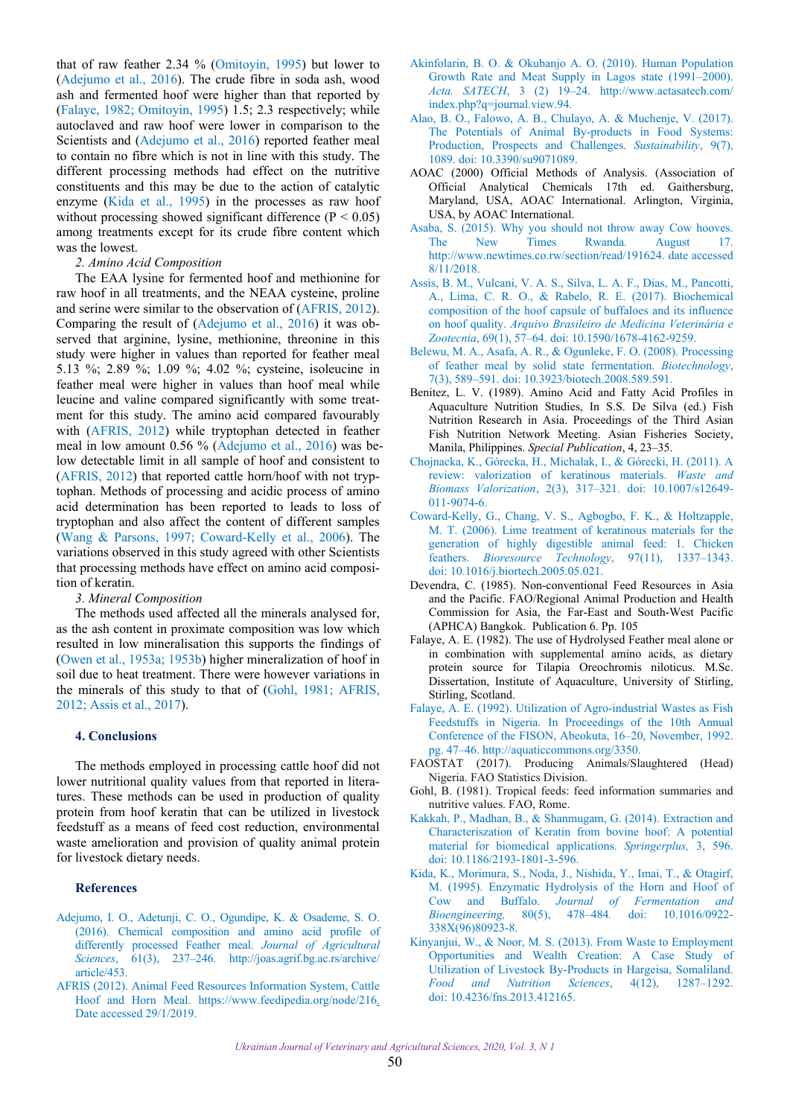<span id="page-3-0"></span>that of raw feather 2.34 % (Omitoyin, 1995) but lower to (Adejumo et al., 2016). The crude fibre in soda ash, wood ash and fermented hoof were higher than that reported by (Falaye, 1982; [Omitoyin, 1995\)](#page-4-0) 1.5; 2.3 respectively; while autoclaved and raw hoof were lower in comparison to the Scientists and (Adejumo et al., 2016) reported feather meal to contain no fibre which is not in line with this study. The different processing methods had effect on the nutritive constituents and this may be due to the action of catalytic enzyme (Kida et al., 1995) in the processes as raw hoof without processing showed significant difference  $(P < 0.05)$ among treatments except for its crude fibre content which was the lowest.

## *2. Amino Acid Composition*

The EAA lysine for fermented hoof and methionine for raw hoof in all treatments, and the NEAA cysteine, proline and serine were similar to the observation of (AFRIS, 2012). Comparing the result of (Adejumo et al., 2016) it was observed that arginine, lysine, methionine, threonine in this study were higher in values than reported for feather meal 5.13 %; 2.89 %; 1.09 %; 4.02 %; cysteine, isoleucine in feather meal were higher in values than hoof meal while leucine and valine compared significantly with some treatment for this study. The amino acid compared favourably with (AFRIS, 2012) while tryptophan detected in feather meal in low amount 0.56 % (Adejumo et al., 2016) was below detectable limit in all sample of hoof and consistent to (AFRIS, 2012) that reported cattle horn/hoof with not tryptophan. Methods of processing and acidic process of amino acid determination has been reported to leads to loss of tryptophan and also affect the content of different samples ([Wang & Parsons, 1997](#page-4-0); Coward-Kelly et al., 2006). The variations observed in this study agreed with other Scientists that processing methods have effect on amino acid composition of keratin.

## *3. Mineral Composition*

The methods used affected all the minerals analysed for, as the ash content in proximate composition was low which resulted in low mineralisation this supports the findings of ([Owen et al., 1953a; 1953b\)](#page-4-0) higher mineralization of hoof in soil due to heat treatment. There were however variations in the minerals of this study to that of (Gohl, 1981; AFRIS, 2012; Assis et al., 2017).

# **4. Conclusions**

The methods employed in processing cattle hoof did not lower nutritional quality values from that reported in literatures. These methods can be used in production of quality protein from hoof keratin that can be utilized in livestock feedstuff as a means of feed cost reduction, environmental waste amelioration and provision of quality animal protein for livestock dietary needs.

## **References**

- [Adejumo, I. O., Adetunji, C. O., Ogundipe, K. & Osademe, S. O.](http://joas.agrif.bg.ac.rs/archive/article/453) (2016). Chemical composition and amino acid profile of differently processed Feather meal. *Journal of Agricultural Sciences*, 61(3), 237–246. http://joas.agrif.bg.ac.rs/archive/ article/453.
- [AFRIS \(2012\). Animal Feed Resources Information System, Cattle](https://www.feedipedia.org/node/216) Hoof and Horn Meal. [https://www.feedipedia.org/node/216.](https://www.feedipedia.org/node/216) Date accessed 29/1/2019.
- [Akinfolarin, B. O. & Okubanjo A. O. \(2010\). Human Population](http://www.actasatech.com/index.php?q=journal.view.94) Growth Rate and Meat Supply in Lagos state (1991–2000). *Acta. SATECH*, 3 (2) 19–24. http://www.actasatech.com/ index.php?q=journal.view.94.
- [Alao, B. O., Falowo, A. B., Chulayo, A. & Muchenje, V. \(2017\).](https://doi.org/10.3390/su9071089) The Potentials of Animal By-products in Food Systems: Production, Prospects and Challenges. *Sustainability*, 9(7), 1089. doi: 10.3390/su9071089.
- AOAC (2000) Official Methods of Analysis. (Association of Official Analytical Chemicals 17th ed. Gaithersburg, Maryland, USA, AOAC International. Arlington, Virginia, USA, by AOAC International.
- [Asaba, S. \(2015\). Why you should not throw away Cow hooves.](http://www.newtimes.co.rw/section/read/191624) The New Times Rwanda. August 17. http://www.newtimes.co.rw/section/read/191624. date accessed 8/11/2018.
- [Assis, B. M., Vulcani, V. A. S., Silva, L. A. F., Dias, M., Pancotti,](https://doi.org/10.1590/1678-4162-9259) A., Lima, C. R. O., & Rabelo, R. E. (2017). Biochemical composition of the hoof capsule of buffaloes and its influence on hoof quality. *Arquivo Brasileiro de Medicina Veterinária e Zootecnia*, 69(1), 57–64[. doi: 10.1590/1678-4162-9259.](https://doi.org/10.1590/1678-4162-9259)
- [Belewu, M. A., Asafa, A. R., & Ogunleke, F. O. \(2008\). Processing](https://doi.org/10.3923/biotech.2008.589.591)  of feather meal by solid state fermentation. *Biotechnology*, 7(3), 589–591. doi: [10.3923/biotech.2008.589.591.](http://dx.doi.org/10.3923/biotech.2008.589.591)
- Benitez, L. V. (1989). Amino Acid and Fatty Acid Profiles in Aquaculture Nutrition Studies, In S.S. De Silva (ed.) Fish Nutrition Research in Asia. Proceedings of the Third Asian Fish Nutrition Network Meeting. Asian Fisheries Society, Manila, Philippines. *Special Publication*, 4, 23–35.
- Chojnacka, K., Górecka, H., Michalak, I., & Górecki, H. (2011). A [review: valorization of keratinous materials.](https://doi.org/10.1007/s12649-011-9074-6) *Waste and Biomass Valorization*, 2(3), 317–321. doi: [10.1007/s12649-](https://doi.org/10.1007/s12649-011-9074-6) [011-9074-6.](https://doi.org/10.1007/s12649-011-9074-6)
- Coward-Kelly, G., Chang, V. S., Agbogbo, F. K., & Holtzapple, [M. T. \(2006\). Lime treatment of keratinous materials for the](https://doi.org/10.1016/j.biortech.2005.05.021) generation of highly digestible animal feed: 1. Chicken feathers. *Bioresource Technology*, 97(11), 1337–1343. doi: [10.1016/j.biortech.2005.05.021.](https://doi.org/10.1016/j.biortech.2005.05.021)
- Devendra, C. (1985). Non-conventional Feed Resources in Asia and the Pacific. FAO/Regional Animal Production and Health Commission for Asia, the Far-East and South-West Pacific (APHCA) Bangkok. Publication 6. Pp. 105
- Falaye, A. E. (1982). The use of Hydrolysed Feather meal alone or in combination with supplemental amino acids, as dietary protein source for Tilapia Oreochromis niloticus. M.Sc. Dissertation, Institute of Aquaculture, University of Stirling, Stirling, Scotland.
- [Falaye, A. E. \(1992\). Utilization of Agro-industrial Wastes as Fish](http://aquaticcommons.org/3350) Feedstuffs in Nigeria. In Proceedings of the 10th Annual Conference of the FISON, Abeokuta, 16–20, November, 1992. pg. 47–46. http://aquaticcommons.org/3350.
- FAOSTAT (2017). Producing Animals/Slaughtered (Head) Nigeria. FAO Statistics Division.
- Gohl, B. (1981). Tropical feeds: feed information summaries and nutritive values. FAO, Rome.
- [Kakkah, P., Madhan, B., & Shanmugam, G. \(2014\). Extraction and](https://doi.org/10.1186/2193-1801-3-596)  Characteriszation of Keratin from bovine hoof: A potential material for biomedical applications. *Springerplus,* 3, 596. doi: 10.1186/2193-1801-3-596.
- [Kida, K., Morimura, S., Noda, J., Nishida, Y., Imai, T., & Otagirf,](https://doi.org/10.1016/0922-338X(96)80923-8) M. (1995). Enzymatic Hydrolysis of the Horn and Hoof of Cow and Buffalo. *Journal of Fermentation and Bioengineering,* 80(5), 338X(96)80923-8.
- Kinyanjui, W., & Noor, M. S. (2013). From Waste to Employment [Opportunities and Wealth Creation: A Case Study of](https://doi.org/10.4236/fns.2013.412165) Utilization of Livestock By-Products in Hargeisa, Somaliland. *Food and Nutrition Sciences*, 4(12), 1287–1292. doi: 10.4236/fns.2013.412165.